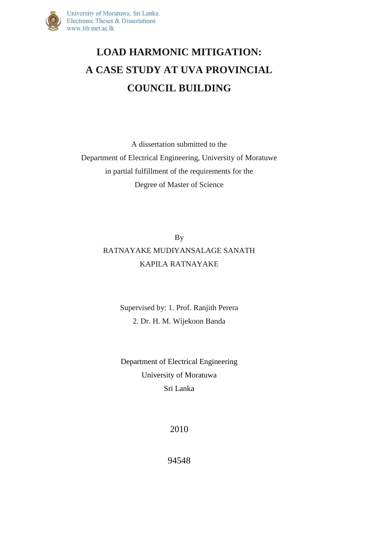

## **LOAD HARMONIC MITIGATION: A CASE STUDY AT UVA PROVINCIAL COUNCIL BUILDING**

A dissertation submitted to the Department of Electrical Engineering, University of Moratuwe in partial fulfillment of the requirements for the Degree of Master of Science

> By RATNAYAKE MUDIYANSALAGE SANATH KAPILA RATNAYAKE

> > Supervised by: 1. Prof. Ranjith Perera 2. Dr. H. M. Wijekoon Banda

> > Department of Electrical Engineering University of Moratuwa Sri Lanka

> > > 2010

94548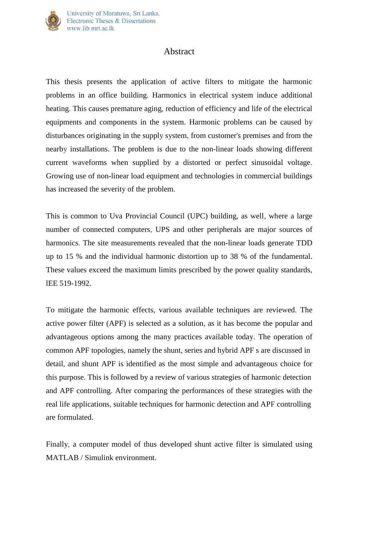

## Abstract

This thesis presents the application of active filters to mitigate the harmonic problems in an office building. Harmonics in electrical system induce additional heating. This causes premature aging, reduction of efficiency and life of the electrical equipments and components in the system. Harmonic problems can be caused by disturbances originating in the supply system, from customer's premises and from the nearby installations. The problem is due to the non-linear loads showing different current waveforms when supplied by a distorted or perfect sinusoidal voltage. Growing use of non-linear load equipment and technologies in commercial buildings has increased the severity of the problem.

This is common to Uva Provincial Council (UPC) building, as well, where a large number of connected computers, UPS and other peripherals are major sources of harmonics. The site measurements revealed that the non-linear loads generate TDD up to 15 % and the individual harmonic distortion up to 38 % of the fundamental. These values exceed the maximum limits prescribed by the power quality standards, lEE 519-1992.

To mitigate the harmonic effects, various available techniques are reviewed. The active power filter (APF) is selected as a solution, as it has become the popular and advantageous options among the many practices available today. The operation of common APF topologies, namely the shunt, series and hybrid APF s are discussed in detail, and shunt APF is identified as the most simple and advantageous choice for this purpose. This is followed by a review of various strategies of harmonic detection and APF controlling. After comparing the performances of these strategies with the real life applications, suitable techniques for harmonic detection and APF controlling are formulated.

Finally, a computer model of thus developed shunt active filter is simulated using MATLAB / Simulink environment.